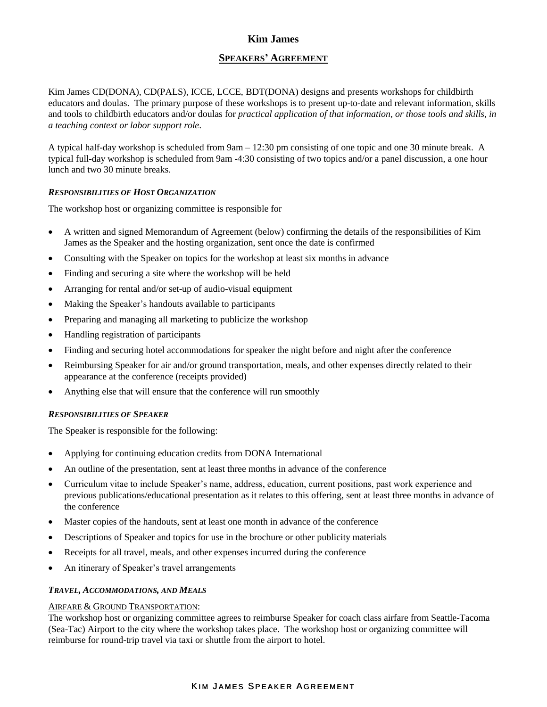# **Kim James**

# **SPEAKERS' AGREEMENT**

Kim James CD(DONA), CD(PALS), ICCE, LCCE, BDT(DONA) designs and presents workshops for childbirth educators and doulas. The primary purpose of these workshops is to present up-to-date and relevant information, skills and tools to childbirth educators and/or doulas for *practical application of that information, or those tools and skills, in a teaching context or labor support role*.

A typical half-day workshop is scheduled from 9am – 12:30 pm consisting of one topic and one 30 minute break. A typical full-day workshop is scheduled from 9am -4:30 consisting of two topics and/or a panel discussion, a one hour lunch and two 30 minute breaks.

### *RESPONSIBILITIES OF HOST ORGANIZATION*

The workshop host or organizing committee is responsible for

- A written and signed Memorandum of Agreement (below) confirming the details of the responsibilities of Kim James as the Speaker and the hosting organization, sent once the date is confirmed
- Consulting with the Speaker on topics for the workshop at least six months in advance
- Finding and securing a site where the workshop will be held
- Arranging for rental and/or set-up of audio-visual equipment
- Making the Speaker's handouts available to participants
- Preparing and managing all marketing to publicize the workshop
- Handling registration of participants
- Finding and securing hotel accommodations for speaker the night before and night after the conference
- Reimbursing Speaker for air and/or ground transportation, meals, and other expenses directly related to their appearance at the conference (receipts provided)
- Anything else that will ensure that the conference will run smoothly

#### *RESPONSIBILITIES OF SPEAKER*

The Speaker is responsible for the following:

- Applying for continuing education credits from DONA International
- An outline of the presentation, sent at least three months in advance of the conference
- Curriculum vitae to include Speaker's name, address, education, current positions, past work experience and previous publications/educational presentation as it relates to this offering, sent at least three months in advance of the conference
- Master copies of the handouts, sent at least one month in advance of the conference
- Descriptions of Speaker and topics for use in the brochure or other publicity materials
- Receipts for all travel, meals, and other expenses incurred during the conference
- An itinerary of Speaker's travel arrangements

#### *TRAVEL, ACCOMMODATIONS, AND MEALS*

#### AIRFARE & GROUND TRANSPORTATION:

The workshop host or organizing committee agrees to reimburse Speaker for coach class airfare from Seattle-Tacoma (Sea-Tac) Airport to the city where the workshop takes place. The workshop host or organizing committee will reimburse for round-trip travel via taxi or shuttle from the airport to hotel.

# KIM JAMES SPEAKER AGREEMENT